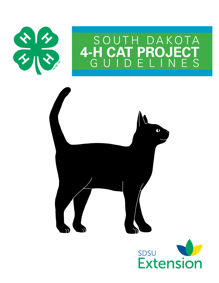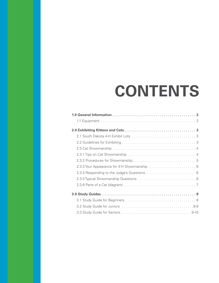# **CONTENTS**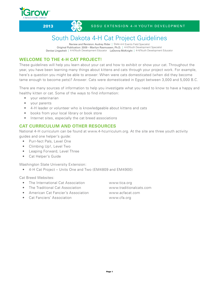#### **2013** SDSU EXTENSION 4-H YOUTH DEVELOPMENT

### South Dakota 4-H Cat Project Guidelines

Review and Revision: Audrey Rider | State 4-H Events Field Specialist Original Publication: 2009 – Marilyn Rasmussen, Ph.D. | 4-H/Youth Development Specialist Denise Lingscheit | 4-H/Youth Development Educator LaDonna McKnight | 4-H/Youth Development Educator

#### **Welcome to the 4-H Cat Project!**

These guidelines will help you learn about your cat and how to exhibit or show your cat. Throughout the year, you have been learning many things about kittens and cats through your project work. For example, here's a question you might be able to answer: When were cats domesticated (when did they become tame enough to become pets)? Answer: Cats were domesticated in Egypt between 3,000 and 5,000 B.C.

There are many sources of information to help you investigate what you need to know to have a happy and healthy kitten or cat. Some of the ways to find information:

- your veterinarian
- your parents
- • 4-H leader or volunteer who is knowledgeable about kittens and cats
- books from your local library or book store
- Internet sites, especially the cat breed associations

#### **Cat Curriculum and Other Resources**

National 4-H curriculum can be found at www.4-hcurriculum.org. At the site are three youth activity guides and one helper's guide:

- • Purr-fect Pals, Level One
- Climbing Up!, Level Two
- • Leaping Forward, Level Three
- • Cat Helper's Guide

Washington State University Extension:

• 4-H Cat Project – Units One and Two (EM4809 and EM4900)

Cat Breed Websites:

- The International Cat Association **www.tica.org**
- The Traditional Cat Association **www.traditionalcats.com**
- American Cat Fancier's Association www.acfacat.com
- Cat Fanciers' Association www.cfa.org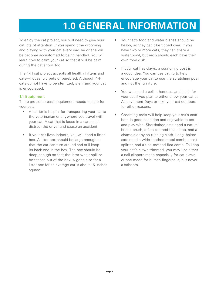## **1.0 GENERAL INFORMATION**

To enjoy the cat project, you will need to give your cat lots of attention. If you spend time grooming and playing with your cat every day, he or she will be become accustomed to being handled. You will learn how to calm your cat so that it will be calm during the cat show, too.

The 4-H cat project accepts all healthy kittens and cats—household pets or purebred. Although 4-H cats do not have to be sterilized, sterilizing your cat is encouraged.

#### 1.1 Equipment

There are some basic equipment needs to care for your cat:

- • A carrier is helpful for transporting your cat to the veterinarian or anywhere you travel with your cat. A cat that is loose in a car could distract the driver and cause an accident.
- If your cat lives indoors, you will need a litter box. A litter box should be large enough so that the cat can turn around and still keep its back end in the box. The box should be deep enough so that the litter won't spill or be tossed out of the box. A good size for a litter box for an average cat is about 15-inches square.
- Your cat's food and water dishes should be heavy, so they can't be tipped over. If you have two or more cats, they can share a water bowl, but each should each have their own food dish.
- • If your cat has claws, a scratching post is a good idea. You can use catnip to help encourage your cat to use the scratching post and not the furniture.
- You will need a collar, harness, and leash for your cat if you plan to either show your cat at Achievement Days or take your cat outdoors for other reasons.
- • Grooming tools will help keep your cat's coat both in good condition and enjoyable to pet and play with. Shorthaired cats need a natural bristle brush, a fine-toothed flea comb, and a chamois or nylon rubbing cloth. Long–haired cats need a wide-toothed metal comb, a mat splitter, and a fine-toothed flea comb. To keep your cat's claws trimmed, you may use either a nail clippers made especially for cat claws or one made for human fingernails, but never a scissors.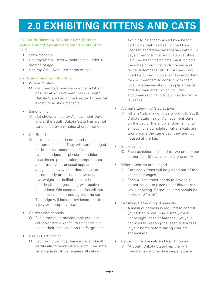### **2.0 exhibiting kittens and cats**

#### 2.1. South Dakota 4-H Exhibit Lots (Cats at Achievement Days and/or South Dakota State Fair)

- • Showmanship
- Healthy Kitten over 4 months and under 12 months of age
- Healthy Cat over 12 months of age

#### 2.2. Guidelines for Exhibiting

- • Where to Show
	- 4-H members may show either a kitten or a cat at Achievement Days or South Dakota State Fair in the Healthy Kitten/Cat exhibit or in showmanship.
- Sanctioning.
	- Cat shows at county Achievement Days and at the South Dakota State Fair are not sanctioned by any national organization.
- • Cat Breeds
	- O Kittens and cats do not need to be purebred animals. They will not be judged for breed characteristics. Kittens and cats are judged for physical condition, cleanliness, presentation, temperament, and attractive or unusual appearance. Judges usually will not deduct points for odd body proportions; however, overweight, potbellied, or cats in poor health and grooming will receive deductions. Old scars or injuries will not necessarily be counted against the cat. The judge will look for evidence that the injury was properly treated.
- **Carriers and Kennels** 
	- Exhibitors must provide their own pet carrier/portable kennel to transport and house their cats while on the fairgrounds.
- • Health Certification
	- Each exhibitor must have a current health certificate for each kitten or cat. The state veterinarian's office requires all cats on

exhibit to be accompanied by a health certificate that has been signed by a licensed accredited veterinarian within 30 days of entry to the South Dakota State Fair. The health certificate must indicate the dates of vaccination for rabies and feline distemper (FVRCP). All vaccines must be current. However, it is important for 4-H members to consult with their local veterinarian about complete health care for their cats, which includes additional vaccinations, such as for feline leukemia.

- Animal's Length of Stay at Event
	- O Kittens/cats may only be brought to South Dakota State Fair or Achievement Days on the day of the show and remain until all judging is completed. Kittens/cats are taken home the same day; they are not housed at the fair.
- Entry Limits
	- Each exhibitor is limited to two entries per lot number. Showmanship is one entry.
- Where Animals are Judged.
	- Cats and kittens will be judged out of their kennels or cages.
	- Each 4-H member needs to provide a carpet square to place under his/her cat while showing. Carpet squares should be at least 12" x 15".
- Leashing/Harnessing of Animals
	- A leash or harness is required to control your kitten or cat. Use a small, clean lightweight leash or harness. Get your cat used to wearing the leash or harness in your home before taking your cat somewhere.
- Carpeting for Animals and Nail Trimming At South Dakota State Fair, the 4-H member must provide a carpet square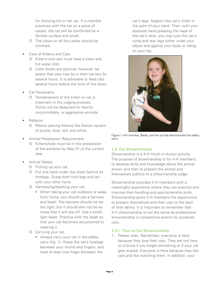for showing his or her cat. If a member practices with the cat on a piece of carpet, the cat will be comforted by a familiar surface and smell.

- The claws on all four paws should be trimmed.
- Care of Kittens and Cats
	- O Kittens and cats must have a clean and full water dish.
	- Litter boxes are optional; however, be aware that cats may be in their carriers for several hours. It is advisable to feed cats several hours before the time of the show.
- **Cat Personality** 
	- O Temperament of the kitten or cat is important in the judging process. Points will be deducted for fearful, uncontrollable, or aggressive animals.
- • Ribbons
	- O Ribbon placing follows the Danish system of purple, blue, red, and white.
- • Animal Possession Requirement.
	- O Kittens/cats must be in the possession of the exhibitor by May 31 of the current year.
- • Animal Safety
	- O Picking up your cat.
	- O Put one hand under the chest behind its forelegs. Grasp both hind legs and tail with your other hand.
	- O Harnessing/leashing your cat.
		- **When taking your cat outdoors or away** from home, you should use a harness and leash. The harness should not be too tight, but it should also not be so loose that it will slip off. Use a small, light leash. Practice with the leash so that your cat becomes accustomed to wearing it.
	- Carrying your cat.
		- Always carry your cat in the safety carry (fig. 1). Grasp the cat's forelegs between your thumb and fingers, and have at least one finger between the

cat's legs. Support the cat's chest in the palm of your hand. Then, with your opposite hand grasping the nape of the cat's neck, you may tuck the cat's rump and rear legs either under your elbow and against your body or riding on your hip.



Figure 1. 4-H member, Bailey, and her cat Kali demonstrate the safety carry

#### 2.3. Cat Showmanship

Showmanship is a 4-H Youth-in-Action activity. The purpose of showmanship is for 4-H members to develop skills and knowledge about the animal shown and then to present the animal and themselves publicly to a showmanship judge.

Showmanship provides 4-H members with a meaningful experience where they can practice and improve their handling and sportsmanship skills. Showmanship gives 4-H members the opportunity to present themselves and their cats to the best of their ability. It is important to remember that 4-H showmanship is not the same as professional showmanship in competitive events for purebred cats.

#### 2.3.1. Tips on Cat Showmanship

1. Please relax. Remember, everyone is here because they love their cats. They are not here to criticize if you forget something or if your cat gets scared. Everyone is here because they like cats and like watching them. In addition, your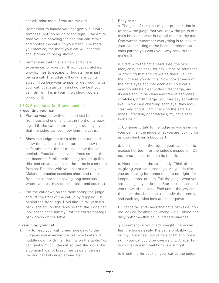cat will relax more if you are relaxed.

- 2. Remember to handle your cat gently but with firmness (not too rough or too tight). The entire time you are showing the cat, you can stroke and soothe the cat with your hand. The more you practice, the more your cat will become accustomed to being shown.
- 3. Remember that this is a new and scary experience for your cat. If your cat scratches, growls, tries to escape, or fidgets, he is just being a cat. The judge will only take points away if you lose your temper or get rough with your cat. Just stay calm and do the best you can. Smile! This is your kitty; show you are proud of it.

#### 2.3.2. Procedures for Showmanship Presenting your cat

- 1. Pick up your cat with one hand just behind its front legs and one hand just in front of its back legs. Lift the cat up, stretching it out slightly so that the judge can see how long the cat is.
- 2. Show the judge the cat's side, then turn and show the cat's head, then turn and show the cat's other side, then turn and show the cat's behind. (Practice this several times so that the cat becomes familiar with being picked up like this, and so you can make the turns in a smooth fashion. Practice with your cat at a steady pace. Make the practice sessions short and more frequent, rather than having long sessions where your cat may start to resist and squirm.)
- 3. Put the cat down on the table facing the judge and lift the front of the cat up by gripping just behind the front legs. Hold him up tall with his back legs still on the table so that the judge can look at the cat's tummy. Put the cat's front legs back down on the table.

#### Examining your cat

1. Try to keep your cat turned sideways to the judge as you examine the cat. Most cats will huddle down with their tummy on the table. You can gently "tuck" the cat so that she looks like a compact loaf of bread, her paws underneath her and her tail curled around her.

2. Body parts.

a. The goal of this part of your presentation is to show the judge that you know the parts of a cat's body and what is typical of a healthy cat. One way to remember everything is to look at your cat—starting at the head, comment on each part as you work your way back to the cat's tail.

b. Start with the cat's head. Feel the skull, face, chin, and neck for any lumps or scratches or anything that should not be there. Talk to the judge as you do this. Now look at each of the cat's eyes and into each ear. Your cat's eyes should be clear without discharge, and its ears should be clean and free of ear mites, scratches, or discharge. You may say something like, "Now I am checking each eye; they look clear and bright. I am checking the ears for mites, infection, or scratches; my cat's ears look fine."

c. Continue to talk to the judge as you examine your cat. Tell the judge what you are looking for as you check each body part.

d. Lift the lips on the side of your cat's face to expose her teeth for the judge's inspection. Do not force the cat to open its mouth.

e. Next, examine the cat's body. Think of this as giving your cat a massage. As you do this, you are feeling for bones that are not right, for lumps, bumps, or cuts. Tell the judge what you are feeling as you do this. Start at the neck and work toward the back. Feel under the jaw and the neck, the shoulders, the body, the tummy, and each leg. Also look at all four paws.

f. Lift the tail and check the cat's backside. You are looking for anything wrong—e.g., blood or a dirty bottom—that could indicate diarrhea.

g. Comment on your cat's weight. If you can feel the bones easily, the cat is probably too skinny. If you feel lots of rolls of fat and loose skin, your cat could be overweight. A nice, firm body that doesn't feel bony is just right.

h. Brush the fur back on your cat so the judge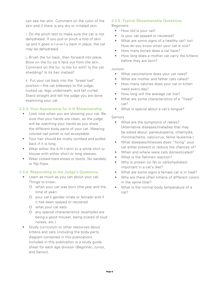can see her skin. Comment on the color of the skin and if there is any dry or irritated skin.

i. Do the pinch test to make sure the cat is not dehydrated. If you pull or pinch a fold of skin up and it goes s-l-o-w-l-y back in place, the cat may be dehydrated.

j. Brush the fur back, then forward into place. Blow on the fur so it fans out from the skin. Comment on the fur. Is the fur soft? Is the cat shedding? Is its hair matted?

k. Put your cat back into the "bread loaf" position—the cat sideways to the judge, tucked up, legs underneath, and tail curled. Stand straight and tell the judge you are done examining your cat.

#### 2.3.3. Your Appearance for 4-H Showmanship

- Look nice when you are showing your cat. Be sure that your hands are clean, as the judge will be watching your hands as you show the different body parts of your cat. Wearing colored nail polish is not acceptable.
- Your hair should be nicely combed and pulled back if it is long.
- Wear either the 4-H t-shirt or a white shirt or blouse with either short or long sleeves.
- Wear closed-toed shoes or boots. No sandals or flip-flops.

#### 2.3.4. Responding to the Judge's Questions

- Learn as much as you can about your cat. Things to know:
	- when your cat was born (the year and the time of year)
	- your cat's gender (male or female) and if it has been spayed or neutered
	- what your cat eats
	- any special characteristics (examples are being a good mouser, being scared of loud noises, etc.)
- Study curriculum or other resources about kittens and cats (including the body parts diagram contained in this publication). Included in this publication is a study guide sheet for each age division (Beginner, Junior, and Senior).

#### 2.3.5. Typical Showmanship Questions

Beginners

- How old is your cat?
- Is your cat spayed or neutered?
- What are some signs of a healthy cat? (or) How do you know when your cat is sick?
- How many bones does a cat have?
- How long does a mother cat carry the kittens before they are born?

#### Juniors

- What vaccinations does your cat need?
- What are mother and father cats called?
- How many calories does your cat or kitten need every day?
- How long will the average cat live?
- • What are some characteristics of a "fixed" cat?
- What is special about a cat's tonque?

#### Seniors

- What are the symptoms of rabies? (Alternative diseases/maladies that may be asked about: panleukopenia, chlamydia, rhinotracheitis, calicivirus, feline leukemia.)
- • What diseases/illnesses does "fixing" your cat either prevent or reduce the chances of?
- • When and where were cats domesticated?
- What is the flehmen reaction?
- Why is protein (or fat or carbohydrates) important in a cat's diet?
- What are some signs a female cat is in heat?
- Why are there often kittens of different colors in the same litter?
- What is the normal body temperature of a cat?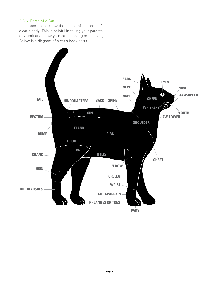#### 2.3.6. Parts of a Cat

It is important to know the names of the parts of a cat's body. This is helpful in telling your parents or veterinarian how your cat is feeling or behaving. Below is a diagram of a cat's body parts.

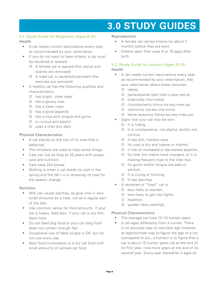### **3.0 Study Guides**

#### 3.1. Study Guide for Beginners (Ages 8-10)

#### Health

- • A cat needs current vaccinations every year, as recommended by your veterinarian.
- If you do not want to have kittens, a cat must be neutered or spayed.
	- A female cat is spayed (the uterus and ovaries are removed)
	- A male cat is neutered/castrated (the testicles are removed)
- • A healthy cat has the following qualities and characteristics:
	- O has bright, clean eyes
	- O has a glossy coat
	- O has a clean nose
	- O has a good appetite
	- O has a nice pink tongue and gums
	- O is curious and playful
	- uses a litter box daily

#### Physical Characteristics

- • A cat stands on the tips of its toes (like a ballerina).
- The whiskers are used to help sense things.
- Cats can live as long as 20 years with proper care and nutrition.
- Cats have 244 bones.
- Molting is when a cat sheds its coat in the spring and the fall—it is renewing its coat for the season change.

#### Nutrition

- Milk can cause diarrhea, so give only in very small amounts as a treat, not as a regular part of the diet.
- Use common sense for food amounts. If your cat is heavy, feed less. If your cat is too thin, feed more.
- Do not feed dog food to your cat (dog food does not contain enough fat).
- • Occasional use of table scraps is OK, but do not use every day.
- Best food combination is a dry cat food with small amounts of canned cat food.

#### Reproduction

- • A female cat carries kittens for about 2 months before they are born.
- Kittens open their eyes 9 or 10 days after birth.

#### 3.2. Study Guide for Juniors (Ages 10-13) Health

- A cat needs current vaccinations every year as recommended by your veterinarian. Ask your veterinarian about these vaccines:
	- O rabies
	- panleukpenia (pan-luke-o-pea-nee-a)
	- O chlamydia (cla-media)
	- O rhinotracheitis (rhino-tra-key-mee-ya)
	- calicivirus (ca-lee-che-virus)
	- O feline leukemia (feline lou-key-mee-ya)
- Signs that your cat may be sick:
	- $O$  It is hiding.
	- O It is unresponsive, not playful, and/or not curious.
	- O It has dull, mattery eyes
	- O Its coat is dry and coarse or matted.
	- O It has an increased or decreased appetite.
	- O Its litter box habits have changed, or it is making frequent trips to the litter box.
	- O Its gums and/or tongue are pale or whitish.
	- O It is crying or howling.
	- O It has diarrhea.
- A neutered or "fixed" cat is
	- O less likely to wander,
	- O less likely to get into fights,
	- O healthier,
	- O quieter (less yowling).

#### Physical Characteristics

- The average cat lives 12-15 human years.
- A cat ages differently from a human. There is no accurate way to calculate age however, an approximate way to figure the age of a cat (compared to you, a human) is to figure that a cat is about 15 human years old at the end of its first year, nine more years at the end of its second year. Every year thereafter it ages an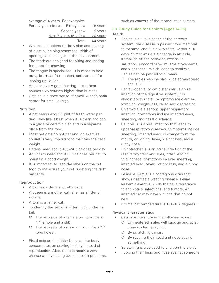average of 4 years. For example:

such as cancers of the reproductive system.

For a  $7$ -year-old cat First year = 15 years

Second year  $=$  9 years

#### Next 5 years  $(5 \times 4) =$  20 years

Total 44 years

- Whiskers supplement the vision and hearing of a cat by helping sense the width of openings and changes in the environment.
- The teeth are designed for biting and tearing food, not for chewing.
- The tongue is specialized. It is made to hold prey, lick meat from bones, and can curl for lapping up liquids.
- A cat has very good hearing. It can hear sounds two octaves higher than humans.
- Cats have a good sense of smell. A cat's brain center for smell is large.

#### **Nutrition**

- • A cat needs about 1 pint of fresh water per day. They like it best when it is clean and cool in a glass or ceramic dish and in a separate place from the food.
- Most pet cats do not get enough exercise, so diet is very important to maintain the best weight.
- • Kittens need about 400–500 calories per day.
- Adult cats need about 350 calories per day to maintain a good weight.
- • It is important to read the labels on the cat food to make sure your cat is getting the right nutrients.

#### Reproduction

- A cat has kittens in 63-69 days.
- A queen is a mother cat; she has a litter of kittens.
- • A tom is a father cat.
- • To identify the sex of a kitten, look under its tail:
	- The backside of a female will look like an "i" (a hole and a slit).
	- The backside of a male will look like a ":" (two holes).
- Fixed cats are healthier because the body concentrates on staying healthy instead of reproduction. Also, there is nearly a zero chance of developing certain health problems,

#### 3.3. Study Guide for Seniors (Ages 14-18) Health

- Rabies is a viral disease of the nervous system; the disease is passed from mammal to mammal and it is always fatal within 7-10 days. Symptoms are a change in attitude, irritability, erratic behavior, excessive salivation, uncoordinated muscle movements, and weakness—which leads to paralysis. Rabies can be passed to humans.
	- The rabies vaccine should be administered annually.
- Panleukopenia, or cat distemper, is a viral infection of the digestive system. It is almost always fatal. Symptoms are diarrhea, vomiting, weight loss, fever, and depression.
- Chlamydia is a serious upper respiratory infection. Symptoms include infected eyes, sneezing, and nasal discharge.
- Calicivirus is a viral infection that leads to upper-respiratory diseases. Symptoms include sneezing, infected eyes, discharge from the mouth, coughing, fever, weight loss, and a runny nose.
- • Rhinotracheitis is an acute infection of the respiratory tract and eyes, often leading to blindness. Symptoms include sneezing, infected eyes, fever, weight loss, and a runny nose.
- Feline leukemia is a contagious virus that shows itself as a wasting disease. Feline leukemia eventually kills the cat's resistance to antibiotics, infections, and tumors. An infected cat may have wounds that do not heal.
- Normal cat temperature is 101-102 degrees F.

#### Physical characteristics

- Cats mark territory in the following ways: Un-neutered males will back up and spray
	- urine (called spraying). By scratching things.
	- O By rubbing their head and nose against something.
- Scratching is also used to sharpen the claws.
- Rubbing their head and nose against someone